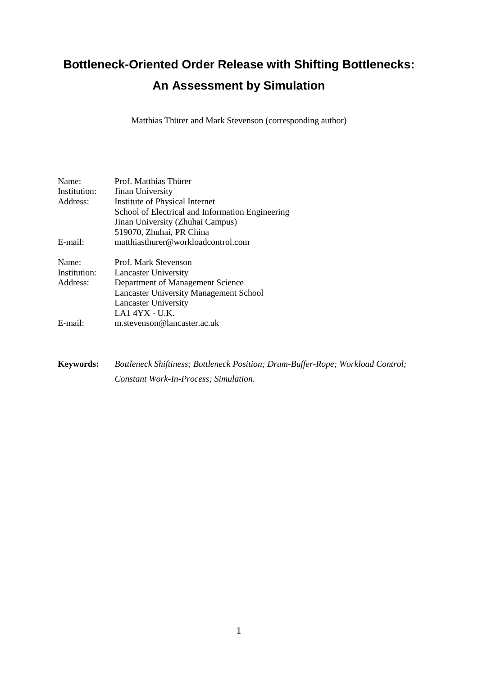# **Bottleneck-Oriented Order Release with Shifting Bottlenecks: An Assessment by Simulation**

Matthias Thürer and Mark Stevenson (corresponding author)

| Name:<br>Institution:<br>Address: | Prof. Matthias Thürer<br>Jinan University<br>Institute of Physical Internet<br>School of Electrical and Information Engineering<br>Jinan University (Zhuhai Campus)<br>519070, Zhuhai, PR China |
|-----------------------------------|-------------------------------------------------------------------------------------------------------------------------------------------------------------------------------------------------|
| E-mail:                           | matthiasthurer@workloadcontrol.com                                                                                                                                                              |
| Name:<br>Institution:<br>Address: | Prof. Mark Stevenson<br><b>Lancaster University</b><br>Department of Management Science<br><b>Lancaster University Management School</b><br><b>Lancaster University</b><br>LA1 $4YX - U.K$ .    |
| $E$ -mail:                        | m.stevenson@lancaster.ac.uk                                                                                                                                                                     |

**Keywords:** *Bottleneck Shiftiness; Bottleneck Position; Drum-Buffer-Rope; Workload Control; Constant Work-In-Process; Simulation.*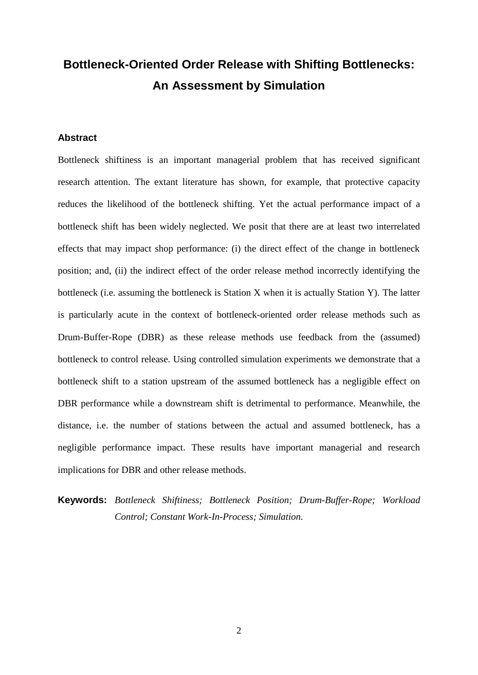# **Bottleneck-Oriented Order Release with Shifting Bottlenecks: An Assessment by Simulation**

# **Abstract**

Bottleneck shiftiness is an important managerial problem that has received significant research attention. The extant literature has shown, for example, that protective capacity reduces the likelihood of the bottleneck shifting. Yet the actual performance impact of a bottleneck shift has been widely neglected. We posit that there are at least two interrelated effects that may impact shop performance: (i) the direct effect of the change in bottleneck position; and, (ii) the indirect effect of the order release method incorrectly identifying the bottleneck (i.e. assuming the bottleneck is Station X when it is actually Station Y). The latter is particularly acute in the context of bottleneck-oriented order release methods such as Drum-Buffer-Rope (DBR) as these release methods use feedback from the (assumed) bottleneck to control release. Using controlled simulation experiments we demonstrate that a bottleneck shift to a station upstream of the assumed bottleneck has a negligible effect on DBR performance while a downstream shift is detrimental to performance. Meanwhile, the distance, i.e. the number of stations between the actual and assumed bottleneck, has a negligible performance impact. These results have important managerial and research implications for DBR and other release methods.

# **Keywords:** *Bottleneck Shiftiness; Bottleneck Position; Drum-Buffer-Rope; Workload Control; Constant Work-In-Process; Simulation.*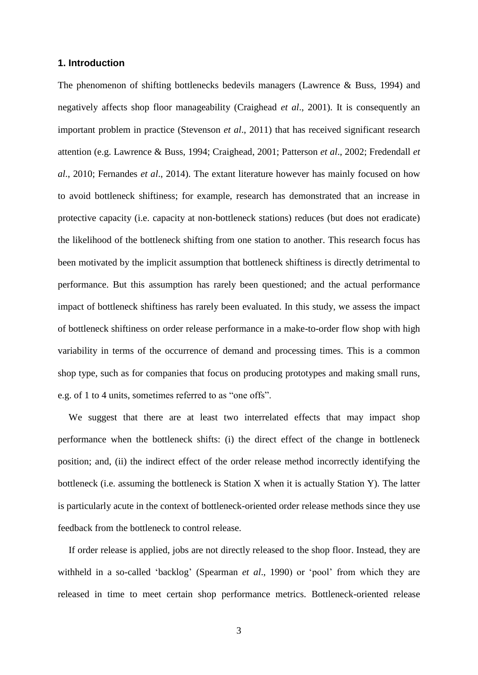#### **1. Introduction**

The phenomenon of shifting bottlenecks bedevils managers (Lawrence & Buss, 1994) and negatively affects shop floor manageability (Craighead *et al*., 2001). It is consequently an important problem in practice (Stevenson *et al*., 2011) that has received significant research attention (e.g. Lawrence & Buss, 1994; Craighead, 2001; Patterson *et al*., 2002; Fredendall *et al*., 2010; Fernandes *et al*., 2014). The extant literature however has mainly focused on how to avoid bottleneck shiftiness; for example, research has demonstrated that an increase in protective capacity (i.e. capacity at non-bottleneck stations) reduces (but does not eradicate) the likelihood of the bottleneck shifting from one station to another. This research focus has been motivated by the implicit assumption that bottleneck shiftiness is directly detrimental to performance. But this assumption has rarely been questioned; and the actual performance impact of bottleneck shiftiness has rarely been evaluated. In this study, we assess the impact of bottleneck shiftiness on order release performance in a make-to-order flow shop with high variability in terms of the occurrence of demand and processing times. This is a common shop type, such as for companies that focus on producing prototypes and making small runs, e.g. of 1 to 4 units, sometimes referred to as "one offs".

We suggest that there are at least two interrelated effects that may impact shop performance when the bottleneck shifts: (i) the direct effect of the change in bottleneck position; and, (ii) the indirect effect of the order release method incorrectly identifying the bottleneck (i.e. assuming the bottleneck is Station X when it is actually Station Y). The latter is particularly acute in the context of bottleneck-oriented order release methods since they use feedback from the bottleneck to control release.

If order release is applied, jobs are not directly released to the shop floor. Instead, they are withheld in a so-called 'backlog' (Spearman *et al*., 1990) or 'pool' from which they are released in time to meet certain shop performance metrics. Bottleneck-oriented release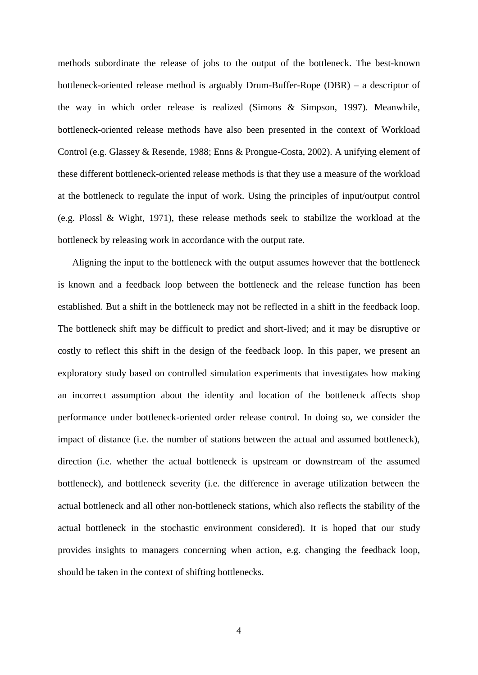methods subordinate the release of jobs to the output of the bottleneck. The best-known bottleneck-oriented release method is arguably Drum-Buffer-Rope (DBR) – a descriptor of the way in which order release is realized (Simons & Simpson, 1997). Meanwhile, bottleneck-oriented release methods have also been presented in the context of Workload Control (e.g. Glassey & Resende, 1988; Enns & Prongue-Costa, 2002). A unifying element of these different bottleneck-oriented release methods is that they use a measure of the workload at the bottleneck to regulate the input of work. Using the principles of input/output control (e.g. Plossl & Wight, 1971), these release methods seek to stabilize the workload at the bottleneck by releasing work in accordance with the output rate.

Aligning the input to the bottleneck with the output assumes however that the bottleneck is known and a feedback loop between the bottleneck and the release function has been established. But a shift in the bottleneck may not be reflected in a shift in the feedback loop. The bottleneck shift may be difficult to predict and short-lived; and it may be disruptive or costly to reflect this shift in the design of the feedback loop. In this paper, we present an exploratory study based on controlled simulation experiments that investigates how making an incorrect assumption about the identity and location of the bottleneck affects shop performance under bottleneck-oriented order release control. In doing so, we consider the impact of distance (i.e. the number of stations between the actual and assumed bottleneck), direction (i.e. whether the actual bottleneck is upstream or downstream of the assumed bottleneck), and bottleneck severity (i.e. the difference in average utilization between the actual bottleneck and all other non-bottleneck stations, which also reflects the stability of the actual bottleneck in the stochastic environment considered). It is hoped that our study provides insights to managers concerning when action, e.g. changing the feedback loop, should be taken in the context of shifting bottlenecks.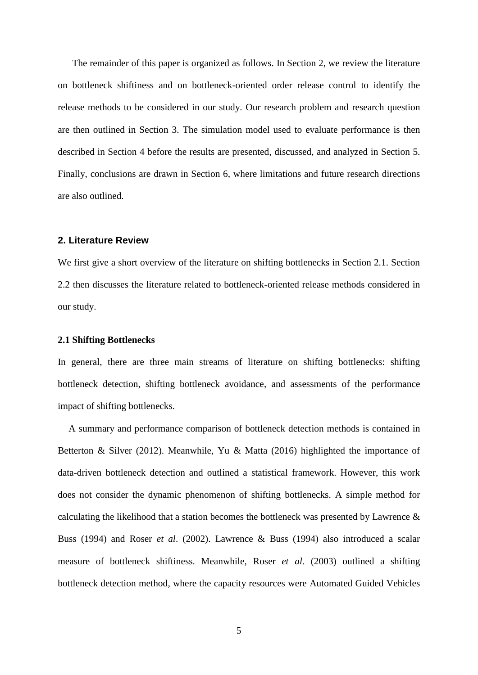The remainder of this paper is organized as follows. In Section 2, we review the literature on bottleneck shiftiness and on bottleneck-oriented order release control to identify the release methods to be considered in our study. Our research problem and research question are then outlined in Section 3. The simulation model used to evaluate performance is then described in Section 4 before the results are presented, discussed, and analyzed in Section 5. Finally, conclusions are drawn in Section 6, where limitations and future research directions are also outlined.

#### **2. Literature Review**

We first give a short overview of the literature on shifting bottlenecks in Section 2.1. Section 2.2 then discusses the literature related to bottleneck-oriented release methods considered in our study.

#### **2.1 Shifting Bottlenecks**

In general, there are three main streams of literature on shifting bottlenecks: shifting bottleneck detection, shifting bottleneck avoidance, and assessments of the performance impact of shifting bottlenecks.

A summary and performance comparison of bottleneck detection methods is contained in Betterton & Silver (2012). Meanwhile, Yu & Matta (2016) highlighted the importance of data-driven bottleneck detection and outlined a statistical framework. However, this work does not consider the dynamic phenomenon of shifting bottlenecks. A simple method for calculating the likelihood that a station becomes the bottleneck was presented by Lawrence & Buss (1994) and Roser *et al*. (2002). Lawrence & Buss (1994) also introduced a scalar measure of bottleneck shiftiness. Meanwhile, Roser *et al*. (2003) outlined a shifting bottleneck detection method, where the capacity resources were Automated Guided Vehicles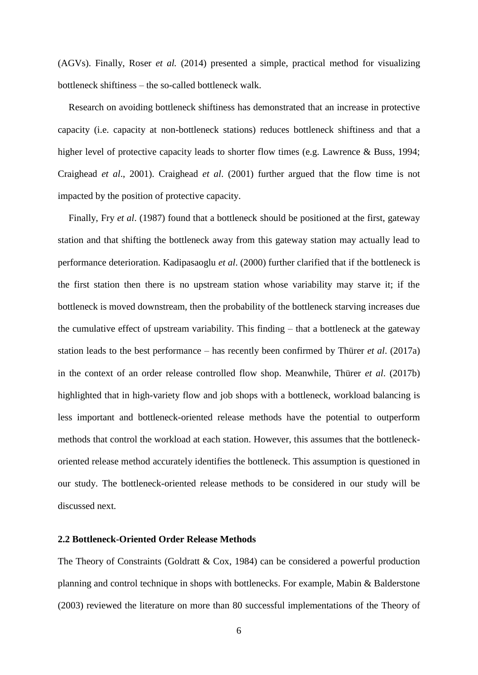(AGVs). Finally, Roser *et al.* (2014) presented a simple, practical method for visualizing bottleneck shiftiness – the so-called bottleneck walk.

Research on avoiding bottleneck shiftiness has demonstrated that an increase in protective capacity (i.e. capacity at non-bottleneck stations) reduces bottleneck shiftiness and that a higher level of protective capacity leads to shorter flow times (e.g. Lawrence & Buss, 1994; Craighead *et al*., 2001). Craighead *et al*. (2001) further argued that the flow time is not impacted by the position of protective capacity.

Finally, Fry *et al*. (1987) found that a bottleneck should be positioned at the first, gateway station and that shifting the bottleneck away from this gateway station may actually lead to performance deterioration. Kadipasaoglu *et al*. (2000) further clarified that if the bottleneck is the first station then there is no upstream station whose variability may starve it; if the bottleneck is moved downstream, then the probability of the bottleneck starving increases due the cumulative effect of upstream variability. This finding – that a bottleneck at the gateway station leads to the best performance – has recently been confirmed by Thürer *et al*. (2017a) in the context of an order release controlled flow shop. Meanwhile, Thürer *et al*. (2017b) highlighted that in high-variety flow and job shops with a bottleneck, workload balancing is less important and bottleneck-oriented release methods have the potential to outperform methods that control the workload at each station. However, this assumes that the bottleneckoriented release method accurately identifies the bottleneck. This assumption is questioned in our study. The bottleneck-oriented release methods to be considered in our study will be discussed next.

# **2.2 Bottleneck-Oriented Order Release Methods**

The Theory of Constraints (Goldratt & Cox, 1984) can be considered a powerful production planning and control technique in shops with bottlenecks. For example, Mabin & Balderstone (2003) reviewed the literature on more than 80 successful implementations of the Theory of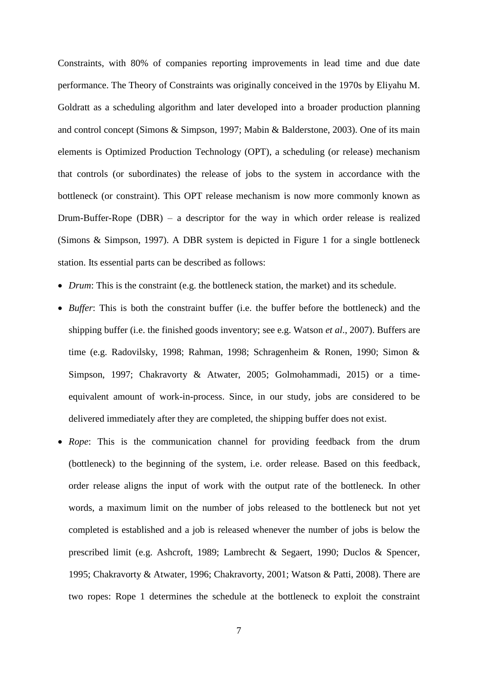Constraints, with 80% of companies reporting improvements in lead time and due date performance. The Theory of Constraints was originally conceived in the 1970s by Eliyahu M. Goldratt as a scheduling algorithm and later developed into a broader production planning and control concept (Simons & Simpson, 1997; Mabin & Balderstone, 2003). One of its main elements is Optimized Production Technology (OPT), a scheduling (or release) mechanism that controls (or subordinates) the release of jobs to the system in accordance with the bottleneck (or constraint). This OPT release mechanism is now more commonly known as Drum-Buffer-Rope (DBR) – a descriptor for the way in which order release is realized (Simons & Simpson, 1997). A DBR system is depicted in Figure 1 for a single bottleneck station. Its essential parts can be described as follows:

- *Drum*: This is the constraint (e.g. the bottleneck station, the market) and its schedule.
- *Buffer*: This is both the constraint buffer (i.e. the buffer before the bottleneck) and the shipping buffer (i.e. the finished goods inventory; see e.g. Watson *et al*., 2007). Buffers are time (e.g. Radovilsky, 1998; Rahman, 1998; Schragenheim & Ronen, 1990; Simon & Simpson, 1997; Chakravorty & Atwater, 2005; Golmohammadi, 2015) or a timeequivalent amount of work-in-process. Since, in our study, jobs are considered to be delivered immediately after they are completed, the shipping buffer does not exist.
- *Rope*: This is the communication channel for providing feedback from the drum (bottleneck) to the beginning of the system, i.e. order release. Based on this feedback, order release aligns the input of work with the output rate of the bottleneck. In other words, a maximum limit on the number of jobs released to the bottleneck but not yet completed is established and a job is released whenever the number of jobs is below the prescribed limit (e.g. Ashcroft, 1989; Lambrecht & Segaert, 1990; Duclos & Spencer, 1995; Chakravorty & Atwater, 1996; Chakravorty, 2001; Watson & Patti, 2008). There are two ropes: Rope 1 determines the schedule at the bottleneck to exploit the constraint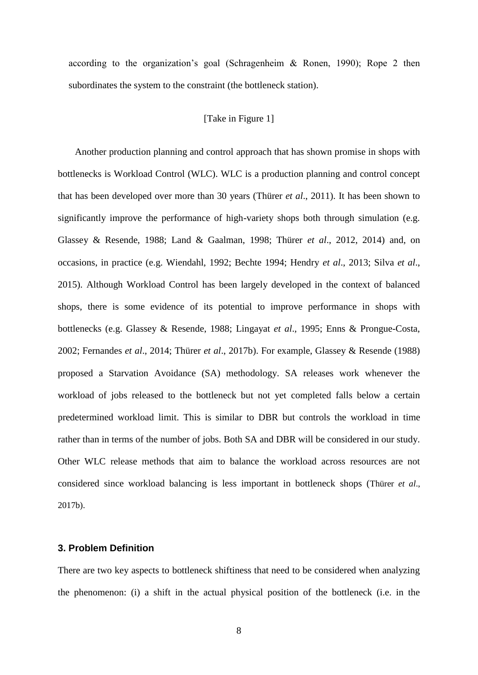according to the organization's goal (Schragenheim & Ronen, 1990); Rope 2 then subordinates the system to the constraint (the bottleneck station).

# [Take in Figure 1]

Another production planning and control approach that has shown promise in shops with bottlenecks is Workload Control (WLC). WLC is a production planning and control concept that has been developed over more than 30 years (Thürer *et al*., 2011). It has been shown to significantly improve the performance of high-variety shops both through simulation (e.g. Glassey & Resende, 1988; Land & Gaalman, 1998; Thürer *et al*., 2012, 2014) and, on occasions, in practice (e.g. Wiendahl, 1992; Bechte 1994; Hendry *et al*., 2013; Silva *et al*., 2015). Although Workload Control has been largely developed in the context of balanced shops, there is some evidence of its potential to improve performance in shops with bottlenecks (e.g. Glassey & Resende, 1988; Lingayat *et al*., 1995; Enns & Prongue-Costa, 2002; Fernandes *et al*., 2014; Thürer *et al*., 2017b). For example, Glassey & Resende (1988) proposed a Starvation Avoidance (SA) methodology. SA releases work whenever the workload of jobs released to the bottleneck but not yet completed falls below a certain predetermined workload limit. This is similar to DBR but controls the workload in time rather than in terms of the number of jobs. Both SA and DBR will be considered in our study. Other WLC release methods that aim to balance the workload across resources are not considered since workload balancing is less important in bottleneck shops (Thürer *et al*., 2017b).

# **3. Problem Definition**

There are two key aspects to bottleneck shiftiness that need to be considered when analyzing the phenomenon: (i) a shift in the actual physical position of the bottleneck (i.e. in the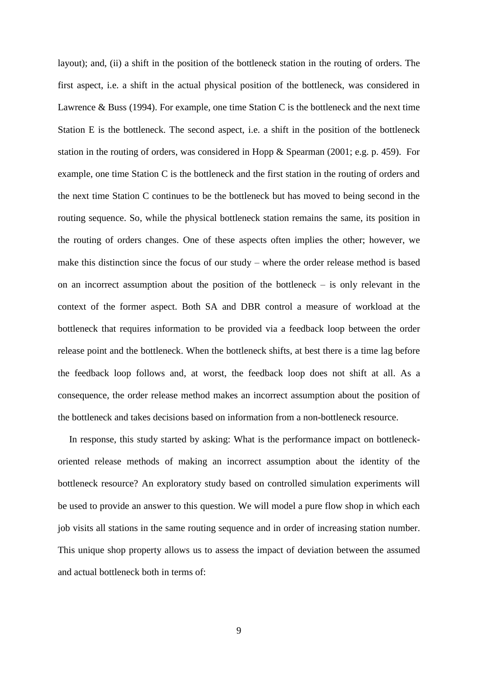layout); and, (ii) a shift in the position of the bottleneck station in the routing of orders. The first aspect, i.e. a shift in the actual physical position of the bottleneck, was considered in Lawrence & Buss (1994). For example, one time Station C is the bottleneck and the next time Station E is the bottleneck. The second aspect, i.e. a shift in the position of the bottleneck station in the routing of orders, was considered in Hopp & Spearman (2001; e.g. p. 459). For example, one time Station C is the bottleneck and the first station in the routing of orders and the next time Station C continues to be the bottleneck but has moved to being second in the routing sequence. So, while the physical bottleneck station remains the same, its position in the routing of orders changes. One of these aspects often implies the other; however, we make this distinction since the focus of our study – where the order release method is based on an incorrect assumption about the position of the bottleneck – is only relevant in the context of the former aspect. Both SA and DBR control a measure of workload at the bottleneck that requires information to be provided via a feedback loop between the order release point and the bottleneck. When the bottleneck shifts, at best there is a time lag before the feedback loop follows and, at worst, the feedback loop does not shift at all. As a consequence, the order release method makes an incorrect assumption about the position of the bottleneck and takes decisions based on information from a non-bottleneck resource.

In response, this study started by asking: What is the performance impact on bottleneckoriented release methods of making an incorrect assumption about the identity of the bottleneck resource? An exploratory study based on controlled simulation experiments will be used to provide an answer to this question. We will model a pure flow shop in which each job visits all stations in the same routing sequence and in order of increasing station number. This unique shop property allows us to assess the impact of deviation between the assumed and actual bottleneck both in terms of: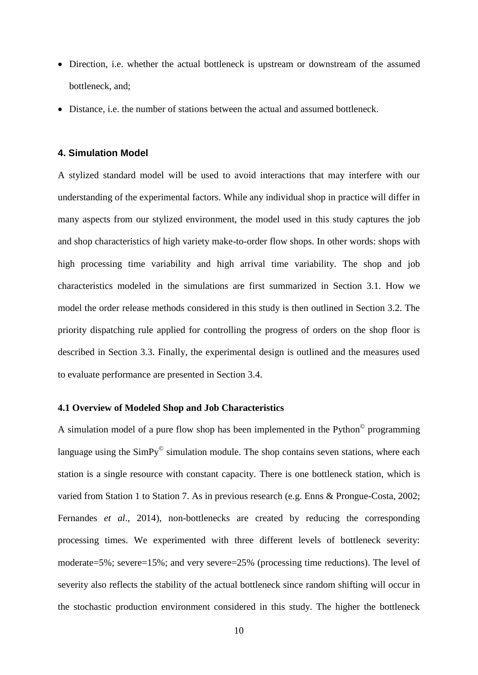- Direction, i.e. whether the actual bottleneck is upstream or downstream of the assumed bottleneck, and;
- Distance, i.e. the number of stations between the actual and assumed bottleneck.

## **4. Simulation Model**

A stylized standard model will be used to avoid interactions that may interfere with our understanding of the experimental factors. While any individual shop in practice will differ in many aspects from our stylized environment, the model used in this study captures the job and shop characteristics of high variety make-to-order flow shops. In other words: shops with high processing time variability and high arrival time variability. The shop and job characteristics modeled in the simulations are first summarized in Section 3.1. How we model the order release methods considered in this study is then outlined in Section 3.2. The priority dispatching rule applied for controlling the progress of orders on the shop floor is described in Section 3.3. Finally, the experimental design is outlined and the measures used to evaluate performance are presented in Section 3.4.

# **4.1 Overview of Modeled Shop and Job Characteristics**

A simulation model of a pure flow shop has been implemented in the Python<sup>©</sup> programming language using the  $SimPy^{\odot}$  simulation module. The shop contains seven stations, where each station is a single resource with constant capacity. There is one bottleneck station, which is varied from Station 1 to Station 7. As in previous research (e.g. Enns & Prongue-Costa, 2002; Fernandes *et al*., 2014), non-bottlenecks are created by reducing the corresponding processing times. We experimented with three different levels of bottleneck severity: moderate=5%; severe=15%; and very severe=25% (processing time reductions). The level of severity also reflects the stability of the actual bottleneck since random shifting will occur in the stochastic production environment considered in this study. The higher the bottleneck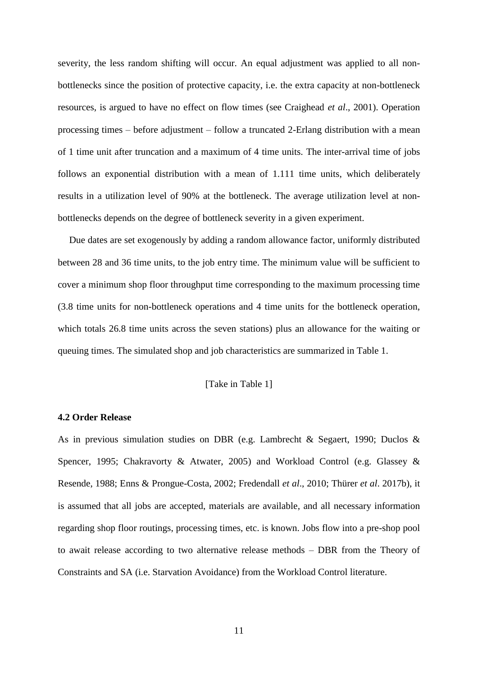severity, the less random shifting will occur. An equal adjustment was applied to all nonbottlenecks since the position of protective capacity, i.e. the extra capacity at non-bottleneck resources, is argued to have no effect on flow times (see Craighead *et al*., 2001). Operation processing times – before adjustment – follow a truncated 2-Erlang distribution with a mean of 1 time unit after truncation and a maximum of 4 time units. The inter-arrival time of jobs follows an exponential distribution with a mean of 1.111 time units, which deliberately results in a utilization level of 90% at the bottleneck. The average utilization level at nonbottlenecks depends on the degree of bottleneck severity in a given experiment.

Due dates are set exogenously by adding a random allowance factor, uniformly distributed between 28 and 36 time units, to the job entry time. The minimum value will be sufficient to cover a minimum shop floor throughput time corresponding to the maximum processing time (3.8 time units for non-bottleneck operations and 4 time units for the bottleneck operation, which totals 26.8 time units across the seven stations) plus an allowance for the waiting or queuing times. The simulated shop and job characteristics are summarized in Table 1.

# [Take in Table 1]

# **4.2 Order Release**

As in previous simulation studies on DBR (e.g. Lambrecht & Segaert, 1990; Duclos & Spencer, 1995; Chakravorty & Atwater, 2005) and Workload Control (e.g. Glassey & Resende, 1988; Enns & Prongue-Costa, 2002; Fredendall *et al*., 2010; Thürer *et al*. 2017b), it is assumed that all jobs are accepted, materials are available, and all necessary information regarding shop floor routings, processing times, etc. is known. Jobs flow into a pre-shop pool to await release according to two alternative release methods – DBR from the Theory of Constraints and SA (i.e. Starvation Avoidance) from the Workload Control literature.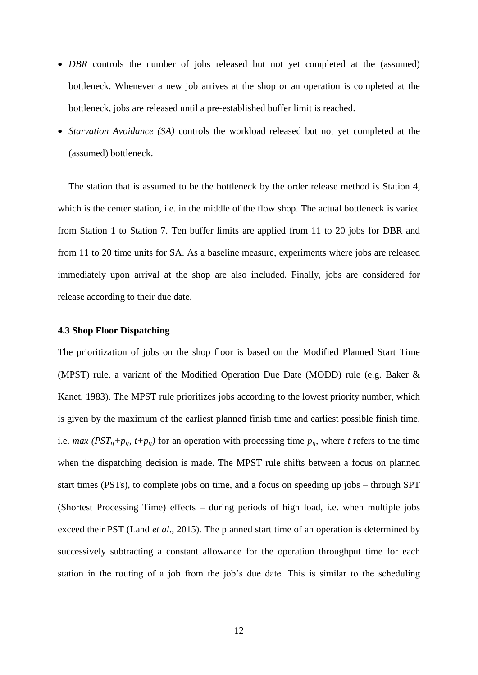- *DBR* controls the number of jobs released but not yet completed at the (assumed) bottleneck. Whenever a new job arrives at the shop or an operation is completed at the bottleneck, jobs are released until a pre-established buffer limit is reached.
- *Starvation Avoidance (SA)* controls the workload released but not yet completed at the (assumed) bottleneck.

The station that is assumed to be the bottleneck by the order release method is Station 4, which is the center station, i.e. in the middle of the flow shop. The actual bottleneck is varied from Station 1 to Station 7. Ten buffer limits are applied from 11 to 20 jobs for DBR and from 11 to 20 time units for SA. As a baseline measure, experiments where jobs are released immediately upon arrival at the shop are also included. Finally, jobs are considered for release according to their due date.

#### **4.3 Shop Floor Dispatching**

The prioritization of jobs on the shop floor is based on the Modified Planned Start Time (MPST) rule, a variant of the Modified Operation Due Date (MODD) rule (e.g. Baker & Kanet, 1983). The MPST rule prioritizes jobs according to the lowest priority number, which is given by the maximum of the earliest planned finish time and earliest possible finish time, i.e. *max*  $(PST_{ij} + p_{ij}, t + p_{ij})$  for an operation with processing time  $p_{ij}$ , where *t* refers to the time when the dispatching decision is made. The MPST rule shifts between a focus on planned start times (PSTs), to complete jobs on time, and a focus on speeding up jobs – through SPT (Shortest Processing Time) effects – during periods of high load, i.e. when multiple jobs exceed their PST (Land *et al*., 2015). The planned start time of an operation is determined by successively subtracting a constant allowance for the operation throughput time for each station in the routing of a job from the job's due date. This is similar to the scheduling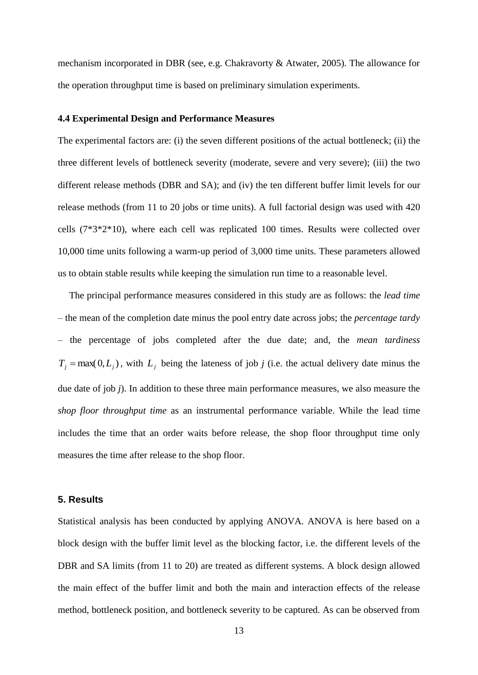mechanism incorporated in DBR (see, e.g. Chakravorty & Atwater, 2005). The allowance for the operation throughput time is based on preliminary simulation experiments.

# **4.4 Experimental Design and Performance Measures**

The experimental factors are: (i) the seven different positions of the actual bottleneck; (ii) the three different levels of bottleneck severity (moderate, severe and very severe); (iii) the two different release methods (DBR and SA); and (iv) the ten different buffer limit levels for our release methods (from 11 to 20 jobs or time units). A full factorial design was used with 420 cells (7\*3\*2\*10), where each cell was replicated 100 times. Results were collected over 10,000 time units following a warm-up period of 3,000 time units. These parameters allowed us to obtain stable results while keeping the simulation run time to a reasonable level.

The principal performance measures considered in this study are as follows: the *lead time* – the mean of the completion date minus the pool entry date across jobs; the *percentage tardy* – the percentage of jobs completed after the due date; and, the *mean tardiness*  $T_j = \max(0, L_j)$ , with  $L_j$  being the lateness of job *j* (i.e. the actual delivery date minus the due date of job *j*). In addition to these three main performance measures, we also measure the *shop floor throughput time* as an instrumental performance variable. While the lead time includes the time that an order waits before release, the shop floor throughput time only measures the time after release to the shop floor.

#### **5. Results**

Statistical analysis has been conducted by applying ANOVA. ANOVA is here based on a block design with the buffer limit level as the blocking factor, i.e. the different levels of the DBR and SA limits (from 11 to 20) are treated as different systems. A block design allowed the main effect of the buffer limit and both the main and interaction effects of the release method, bottleneck position, and bottleneck severity to be captured. As can be observed from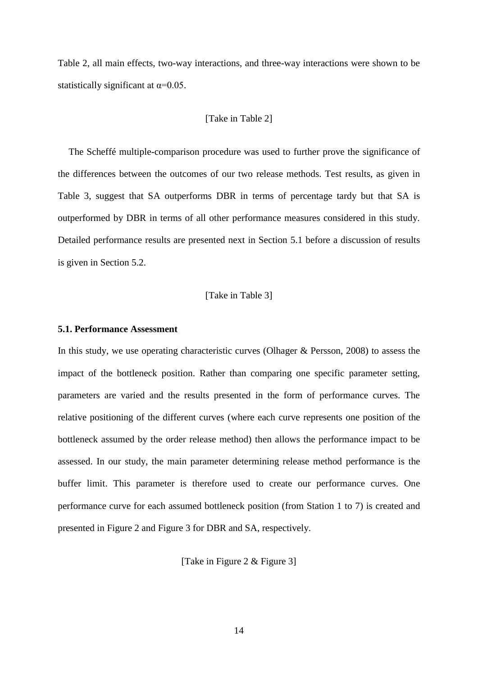Table 2, all main effects, two-way interactions, and three-way interactions were shown to be statistically significant at  $\alpha$ =0.05.

#### [Take in Table 2]

The Scheffé multiple-comparison procedure was used to further prove the significance of the differences between the outcomes of our two release methods. Test results, as given in Table 3, suggest that SA outperforms DBR in terms of percentage tardy but that SA is outperformed by DBR in terms of all other performance measures considered in this study. Detailed performance results are presented next in Section 5.1 before a discussion of results is given in Section 5.2.

### [Take in Table 3]

## **5.1. Performance Assessment**

In this study, we use operating characteristic curves (Olhager & Persson, 2008) to assess the impact of the bottleneck position. Rather than comparing one specific parameter setting, parameters are varied and the results presented in the form of performance curves. The relative positioning of the different curves (where each curve represents one position of the bottleneck assumed by the order release method) then allows the performance impact to be assessed. In our study, the main parameter determining release method performance is the buffer limit. This parameter is therefore used to create our performance curves. One performance curve for each assumed bottleneck position (from Station 1 to 7) is created and presented in Figure 2 and Figure 3 for DBR and SA, respectively.

[Take in Figure 2 & Figure 3]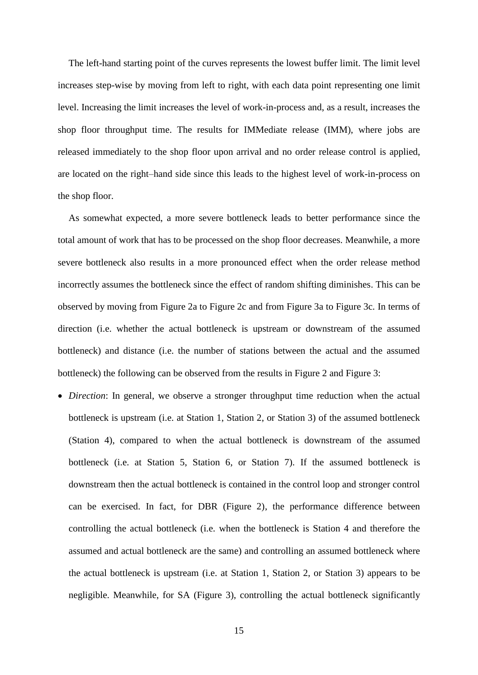The left-hand starting point of the curves represents the lowest buffer limit. The limit level increases step-wise by moving from left to right, with each data point representing one limit level. Increasing the limit increases the level of work-in-process and, as a result, increases the shop floor throughput time. The results for IMMediate release (IMM), where jobs are released immediately to the shop floor upon arrival and no order release control is applied, are located on the right–hand side since this leads to the highest level of work-in-process on the shop floor.

As somewhat expected, a more severe bottleneck leads to better performance since the total amount of work that has to be processed on the shop floor decreases. Meanwhile, a more severe bottleneck also results in a more pronounced effect when the order release method incorrectly assumes the bottleneck since the effect of random shifting diminishes. This can be observed by moving from Figure 2a to Figure 2c and from Figure 3a to Figure 3c. In terms of direction (i.e. whether the actual bottleneck is upstream or downstream of the assumed bottleneck) and distance (i.e. the number of stations between the actual and the assumed bottleneck) the following can be observed from the results in Figure 2 and Figure 3:

• *Direction*: In general, we observe a stronger throughput time reduction when the actual bottleneck is upstream (i.e. at Station 1, Station 2, or Station 3) of the assumed bottleneck (Station 4), compared to when the actual bottleneck is downstream of the assumed bottleneck (i.e. at Station 5, Station 6, or Station 7). If the assumed bottleneck is downstream then the actual bottleneck is contained in the control loop and stronger control can be exercised. In fact, for DBR (Figure 2), the performance difference between controlling the actual bottleneck (i.e. when the bottleneck is Station 4 and therefore the assumed and actual bottleneck are the same) and controlling an assumed bottleneck where the actual bottleneck is upstream (i.e. at Station 1, Station 2, or Station 3) appears to be negligible. Meanwhile, for SA (Figure 3), controlling the actual bottleneck significantly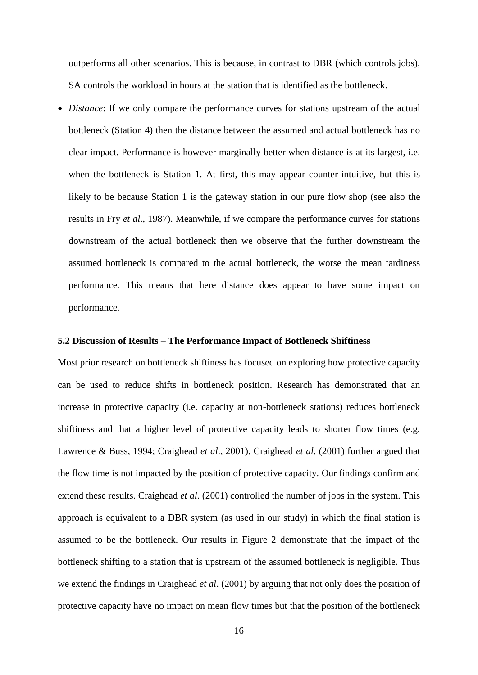outperforms all other scenarios. This is because, in contrast to DBR (which controls jobs), SA controls the workload in hours at the station that is identified as the bottleneck.

 *Distance*: If we only compare the performance curves for stations upstream of the actual bottleneck (Station 4) then the distance between the assumed and actual bottleneck has no clear impact. Performance is however marginally better when distance is at its largest, i.e. when the bottleneck is Station 1. At first, this may appear counter-intuitive, but this is likely to be because Station 1 is the gateway station in our pure flow shop (see also the results in Fry *et al*., 1987). Meanwhile, if we compare the performance curves for stations downstream of the actual bottleneck then we observe that the further downstream the assumed bottleneck is compared to the actual bottleneck, the worse the mean tardiness performance. This means that here distance does appear to have some impact on performance.

#### **5.2 Discussion of Results – The Performance Impact of Bottleneck Shiftiness**

Most prior research on bottleneck shiftiness has focused on exploring how protective capacity can be used to reduce shifts in bottleneck position. Research has demonstrated that an increase in protective capacity (i.e. capacity at non-bottleneck stations) reduces bottleneck shiftiness and that a higher level of protective capacity leads to shorter flow times (e.g. Lawrence & Buss, 1994; Craighead *et al*., 2001). Craighead *et al*. (2001) further argued that the flow time is not impacted by the position of protective capacity. Our findings confirm and extend these results. Craighead *et al*. (2001) controlled the number of jobs in the system. This approach is equivalent to a DBR system (as used in our study) in which the final station is assumed to be the bottleneck. Our results in Figure 2 demonstrate that the impact of the bottleneck shifting to a station that is upstream of the assumed bottleneck is negligible. Thus we extend the findings in Craighead *et al*. (2001) by arguing that not only does the position of protective capacity have no impact on mean flow times but that the position of the bottleneck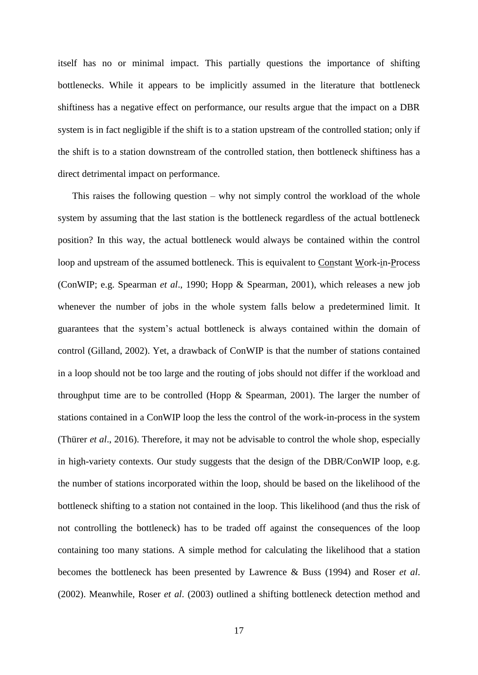itself has no or minimal impact. This partially questions the importance of shifting bottlenecks. While it appears to be implicitly assumed in the literature that bottleneck shiftiness has a negative effect on performance, our results argue that the impact on a DBR system is in fact negligible if the shift is to a station upstream of the controlled station; only if the shift is to a station downstream of the controlled station, then bottleneck shiftiness has a direct detrimental impact on performance.

This raises the following question – why not simply control the workload of the whole system by assuming that the last station is the bottleneck regardless of the actual bottleneck position? In this way, the actual bottleneck would always be contained within the control loop and upstream of the assumed bottleneck. This is equivalent to Constant Work-in-Process (ConWIP; e.g. Spearman *et al*., 1990; Hopp & Spearman, 2001), which releases a new job whenever the number of jobs in the whole system falls below a predetermined limit. It guarantees that the system's actual bottleneck is always contained within the domain of control (Gilland, 2002). Yet, a drawback of ConWIP is that the number of stations contained in a loop should not be too large and the routing of jobs should not differ if the workload and throughput time are to be controlled (Hopp  $\&$  Spearman, 2001). The larger the number of stations contained in a ConWIP loop the less the control of the work-in-process in the system (Thürer *et al*., 2016). Therefore, it may not be advisable to control the whole shop, especially in high-variety contexts. Our study suggests that the design of the DBR/ConWIP loop, e.g. the number of stations incorporated within the loop, should be based on the likelihood of the bottleneck shifting to a station not contained in the loop. This likelihood (and thus the risk of not controlling the bottleneck) has to be traded off against the consequences of the loop containing too many stations. A simple method for calculating the likelihood that a station becomes the bottleneck has been presented by Lawrence & Buss (1994) and Roser *et al*. (2002). Meanwhile, Roser *et al*. (2003) outlined a shifting bottleneck detection method and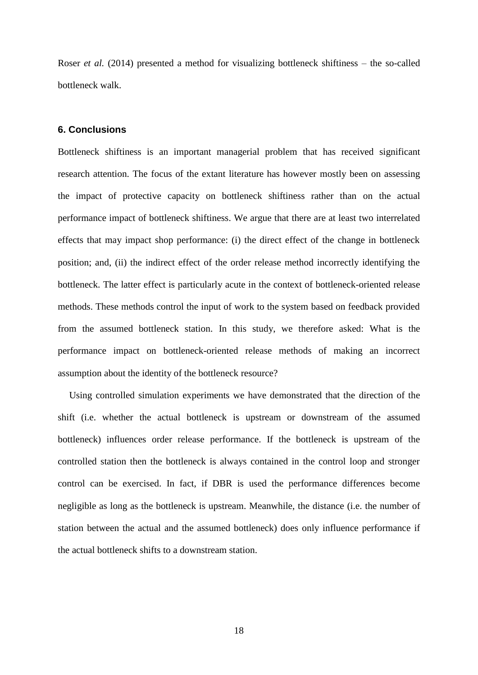Roser *et al.* (2014) presented a method for visualizing bottleneck shiftiness – the so-called bottleneck walk.

# **6. Conclusions**

Bottleneck shiftiness is an important managerial problem that has received significant research attention. The focus of the extant literature has however mostly been on assessing the impact of protective capacity on bottleneck shiftiness rather than on the actual performance impact of bottleneck shiftiness. We argue that there are at least two interrelated effects that may impact shop performance: (i) the direct effect of the change in bottleneck position; and, (ii) the indirect effect of the order release method incorrectly identifying the bottleneck. The latter effect is particularly acute in the context of bottleneck-oriented release methods. These methods control the input of work to the system based on feedback provided from the assumed bottleneck station. In this study, we therefore asked: What is the performance impact on bottleneck-oriented release methods of making an incorrect assumption about the identity of the bottleneck resource?

Using controlled simulation experiments we have demonstrated that the direction of the shift (i.e. whether the actual bottleneck is upstream or downstream of the assumed bottleneck) influences order release performance. If the bottleneck is upstream of the controlled station then the bottleneck is always contained in the control loop and stronger control can be exercised. In fact, if DBR is used the performance differences become negligible as long as the bottleneck is upstream. Meanwhile, the distance (i.e. the number of station between the actual and the assumed bottleneck) does only influence performance if the actual bottleneck shifts to a downstream station.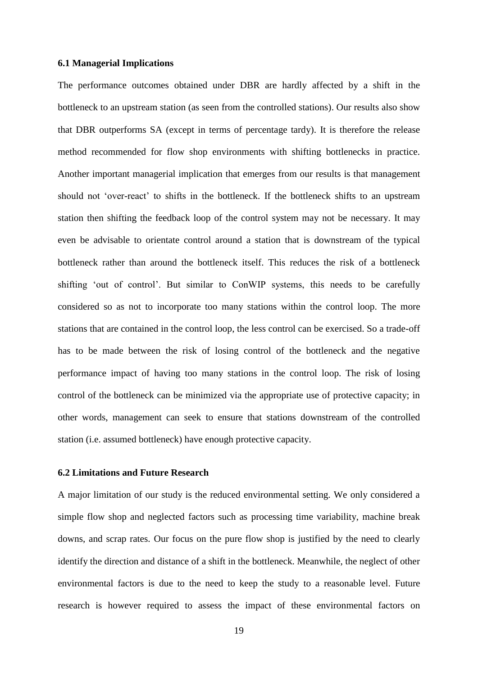#### **6.1 Managerial Implications**

The performance outcomes obtained under DBR are hardly affected by a shift in the bottleneck to an upstream station (as seen from the controlled stations). Our results also show that DBR outperforms SA (except in terms of percentage tardy). It is therefore the release method recommended for flow shop environments with shifting bottlenecks in practice. Another important managerial implication that emerges from our results is that management should not 'over-react' to shifts in the bottleneck. If the bottleneck shifts to an upstream station then shifting the feedback loop of the control system may not be necessary. It may even be advisable to orientate control around a station that is downstream of the typical bottleneck rather than around the bottleneck itself. This reduces the risk of a bottleneck shifting 'out of control'. But similar to ConWIP systems, this needs to be carefully considered so as not to incorporate too many stations within the control loop. The more stations that are contained in the control loop, the less control can be exercised. So a trade-off has to be made between the risk of losing control of the bottleneck and the negative performance impact of having too many stations in the control loop. The risk of losing control of the bottleneck can be minimized via the appropriate use of protective capacity; in other words, management can seek to ensure that stations downstream of the controlled station (i.e. assumed bottleneck) have enough protective capacity.

#### **6.2 Limitations and Future Research**

A major limitation of our study is the reduced environmental setting. We only considered a simple flow shop and neglected factors such as processing time variability, machine break downs, and scrap rates. Our focus on the pure flow shop is justified by the need to clearly identify the direction and distance of a shift in the bottleneck. Meanwhile, the neglect of other environmental factors is due to the need to keep the study to a reasonable level. Future research is however required to assess the impact of these environmental factors on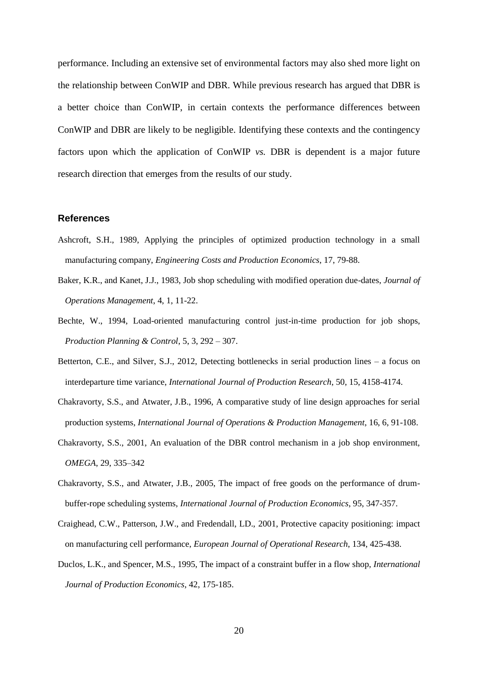performance. Including an extensive set of environmental factors may also shed more light on the relationship between ConWIP and DBR. While previous research has argued that DBR is a better choice than ConWIP, in certain contexts the performance differences between ConWIP and DBR are likely to be negligible. Identifying these contexts and the contingency factors upon which the application of ConWIP *vs.* DBR is dependent is a major future research direction that emerges from the results of our study.

#### **References**

- Ashcroft, S.H., 1989, Applying the principles of optimized production technology in a small manufacturing company, *Engineering Costs and Production Economics*, 17, 79-88.
- Baker, K.R., and Kanet, J.J., 1983, Job shop scheduling with modified operation due-dates, *Journal of Operations Management*, 4, 1, 11-22.
- Bechte, W., 1994, Load-oriented manufacturing control just-in-time production for job shops, *Production Planning & Control*, 5, 3, 292 – 307.
- Betterton, C.E., and Silver, S.J., 2012, Detecting bottlenecks in serial production lines a focus on interdeparture time variance, *International Journal of Production Research*, 50, 15, 4158-4174.
- Chakravorty, S.S., and Atwater, J.B., 1996, A comparative study of line design approaches for serial production systems, *International Journal of Operations & Production Management*, 16, 6, 91-108.
- Chakravorty, S.S., 2001, An evaluation of the DBR control mechanism in a job shop environment, *OMEGA*, 29, 335–342
- Chakravorty, S.S., and Atwater, J.B., 2005, The impact of free goods on the performance of drumbuffer-rope scheduling systems, *International Journal of Production Economics*, 95, 347-357.
- Craighead, C.W., Patterson, J.W., and Fredendall, LD., 2001, Protective capacity positioning: impact on manufacturing cell performance, *European Journal of Operational Research*, 134, 425-438.
- Duclos, L.K., and Spencer, M.S., 1995, The impact of a constraint buffer in a flow shop, *International Journal of Production Economics*, 42, 175-185.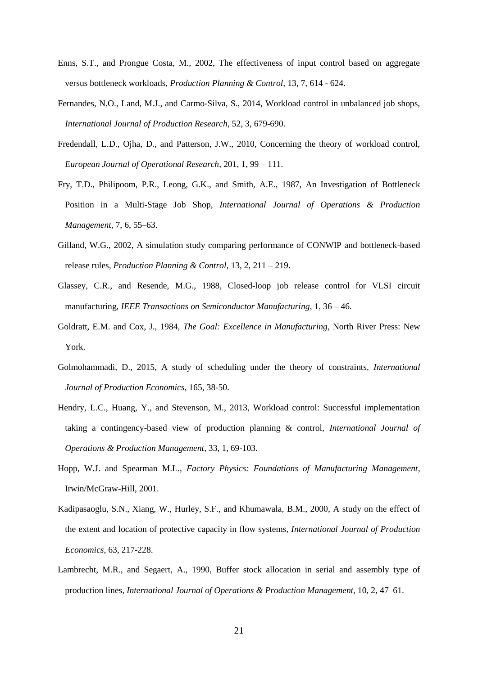- Enns, S.T., and Prongue Costa, M., 2002, The effectiveness of input control based on aggregate versus bottleneck workloads, *Production Planning & Control*, 13, 7, 614 - 624.
- Fernandes, N.O., Land, M.J., and Carmo-Silva, S., 2014, Workload control in unbalanced job shops, *International Journal of Production Research*, 52, 3, 679-690.
- Fredendall, L.D., Ojha, D., and Patterson, J.W., 2010, Concerning the theory of workload control, *European Journal of Operational Research*, 201, 1, 99 – 111.
- Fry, T.D., Philipoom, P.R., Leong, G.K., and Smith, A.E., 1987, An Investigation of Bottleneck Position in a Multi-Stage Job Shop, *International Journal of Operations & Production Management*, 7, 6, 55–63.
- Gilland, W.G., 2002, A simulation study comparing performance of CONWIP and bottleneck-based release rules, *Production Planning & Control*, 13, 2, 211 – 219.
- Glassey, C.R., and Resende, M.G., 1988, Closed-loop job release control for VLSI circuit manufacturing, *IEEE Transactions on Semiconductor Manufacturing*, 1, 36 – 46.
- Goldratt, E.M. and Cox, J., 1984, *The Goal: Excellence in Manufacturing*, North River Press: New York.
- Golmohammadi, D., 2015, A study of scheduling under the theory of constraints, *International Journal of Production Economics*, 165, 38-50.
- Hendry, L.C., Huang, Y., and Stevenson, M., 2013, Workload control: Successful implementation taking a contingency-based view of production planning & control, *International Journal of Operations & Production Management*, 33, 1, 69-103.
- Hopp, W.J. and Spearman M.L., *Factory Physics: Foundations of Manufacturing Management*, Irwin/McGraw-Hill, 2001.
- Kadipasaoglu, S.N., Xiang, W., Hurley, S.F., and Khumawala, B.M., 2000, A study on the effect of the extent and location of protective capacity in flow systems*, International Journal of Production Economics*, 63, 217-228.
- Lambrecht, M.R., and Segaert, A., 1990, Buffer stock allocation in serial and assembly type of production lines, *International Journal of Operations & Production Management*, 10, 2, 47–61.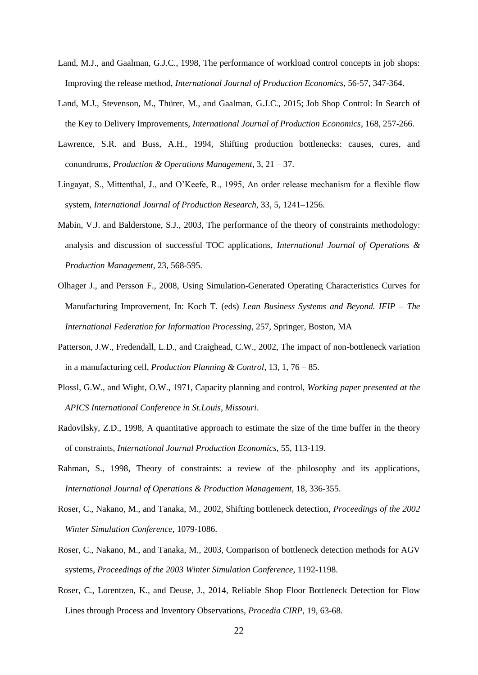- Land, M.J., and Gaalman, G.J.C., 1998, The performance of workload control concepts in job shops: Improving the release method, *International Journal of Production Economics*, 56-57, 347-364.
- Land, M.J., Stevenson, M., Thürer, M., and Gaalman, G.J.C., 2015; Job Shop Control: In Search of the Key to Delivery Improvements, *International Journal of Production Economics*, 168, 257-266.
- Lawrence, S.R. and Buss, A.H., 1994, Shifting production bottlenecks: causes, cures, and conundrums, *Production & Operations Management*, 3, 21 – 37.
- Lingayat, S., Mittenthal, J., and O'Keefe, R., 1995, An order release mechanism for a flexible flow system, *International Journal of Production Research*, 33, 5, 1241–1256.
- Mabin, V.J. and Balderstone, S.J., 2003, The performance of the theory of constraints methodology: analysis and discussion of successful TOC applications, *International Journal of Operations & Production Management*, 23, 568-595.
- Olhager J., and Persson F., 2008, Using Simulation-Generated Operating Characteristics Curves for Manufacturing Improvement, In: Koch T. (eds) *Lean Business Systems and Beyond. IFIP – The International Federation for Information Processing*, 257, Springer, Boston, MA
- Patterson, J.W., Fredendall, L.D., and Craighead, C.W., 2002, The impact of non-bottleneck variation in a manufacturing cell, *Production Planning & Control*, 13, 1, 76 – 85.
- Plossl, G.W., and Wight, O.W., 1971, Capacity planning and control, *Working paper presented at the APICS International Conference in St.Louis, Missouri*.
- Radovilsky, Z.D., 1998, A quantitative approach to estimate the size of the time buffer in the theory of constraints, *International Journal Production Economics*, 55, 113-119.
- Rahman, S., 1998, Theory of constraints: a review of the philosophy and its applications, *International Journal of Operations & Production Management*, 18, 336-355.
- Roser, C., Nakano, M., and Tanaka, M., 2002, Shifting bottleneck detection, *Proceedings of the 2002 Winter Simulation Conference*, 1079-1086.
- Roser, C., Nakano, M., and Tanaka, M., 2003, Comparison of bottleneck detection methods for AGV systems, *Proceedings of the 2003 Winter Simulation Conference*, 1192-1198.
- Roser, C., Lorentzen, K., and Deuse, J., 2014, Reliable Shop Floor Bottleneck Detection for Flow Lines through Process and Inventory Observations, *Procedia CIRP*, 19, 63-68.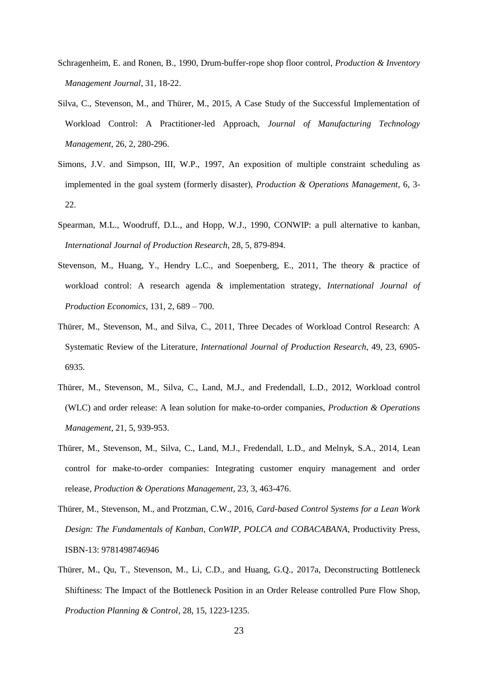- Schragenheim, E. and Ronen, B., 1990, Drum-buffer-rope shop floor control, *Production & Inventory Management Journal*, 31, 18-22.
- Silva, C., Stevenson, M., and Thürer, M., 2015, A Case Study of the Successful Implementation of Workload Control: A Practitioner-led Approach, *Journal of Manufacturing Technology Management*, 26, 2, 280-296.
- Simons, J.V. and Simpson, III, W.P., 1997, An exposition of multiple constraint scheduling as implemented in the goal system (formerly disaster), *Production & Operations Management*, 6, 3- 22.
- Spearman, M.L., Woodruff, D.L., and Hopp, W.J., 1990, CONWIP: a pull alternative to kanban, *International Journal of Production Research*, 28, 5, 879-894.
- Stevenson, M., Huang, Y., Hendry L.C., and Soepenberg, E., 2011, The theory & practice of workload control: A research agenda & implementation strategy, *International Journal of Production Economics*, 131, 2, 689 – 700.
- Thürer, M., Stevenson, M., and Silva, C., 2011, Three Decades of Workload Control Research: A Systematic Review of the Literature, *International Journal of Production Research*, 49, 23, 6905- 6935.
- Thürer, M., Stevenson, M., Silva, C., Land, M.J., and Fredendall, L.D., 2012, Workload control (WLC) and order release: A lean solution for make-to-order companies, *Production & Operations Management,* 21, 5, 939-953.
- Thürer, M., Stevenson, M., Silva, C., Land, M.J., Fredendall, L.D., and Melnyk, S.A., 2014, Lean control for make-to-order companies: Integrating customer enquiry management and order release, *Production & Operations Management*, 23, 3, 463-476.
- Thürer, M., Stevenson, M., and Protzman, C.W., 2016, *Card-based Control Systems for a Lean Work Design: The Fundamentals of Kanban, ConWIP, POLCA and COBACABANA*, Productivity Press, ISBN-13: 9781498746946
- Thürer, M., Qu, T., Stevenson, M., Li, C.D., and Huang, G.Q., 2017a, Deconstructing Bottleneck Shiftiness: The Impact of the Bottleneck Position in an Order Release controlled Pure Flow Shop, *Production Planning & Control*, 28, 15, 1223-1235.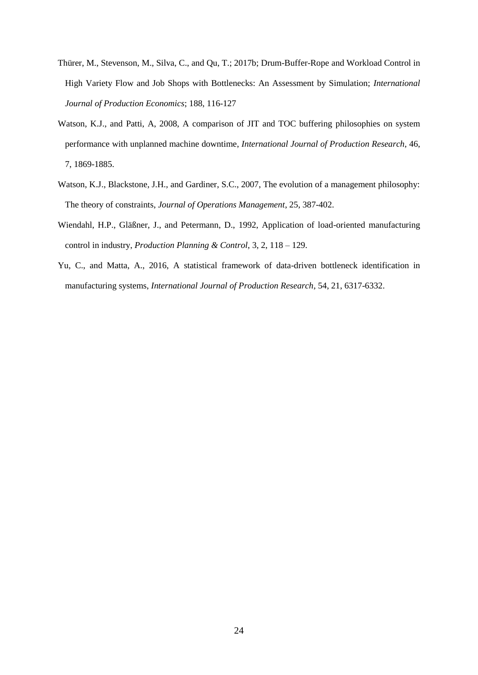- Thürer, M., Stevenson, M., Silva, C., and Qu, T.; 2017b; Drum-Buffer-Rope and Workload Control in High Variety Flow and Job Shops with Bottlenecks: An Assessment by Simulation; *International Journal of Production Economics*; 188, 116-127
- Watson, K.J., and Patti, A, 2008, A comparison of JIT and TOC buffering philosophies on system performance with unplanned machine downtime, *International Journal of Production Research*, 46, 7, 1869-1885.
- Watson, K.J., Blackstone, J.H., and Gardiner, S.C., 2007, The evolution of a management philosophy: The theory of constraints, *Journal of Operations Management*, 25, 387-402.
- Wiendahl, H.P., Gläßner, J., and Petermann, D., 1992, Application of load-oriented manufacturing control in industry, *Production Planning & Control*, 3, 2, 118 – 129.
- Yu, C., and Matta, A., 2016, A statistical framework of data-driven bottleneck identification in manufacturing systems, *International Journal of Production Research*, 54, 21, 6317-6332.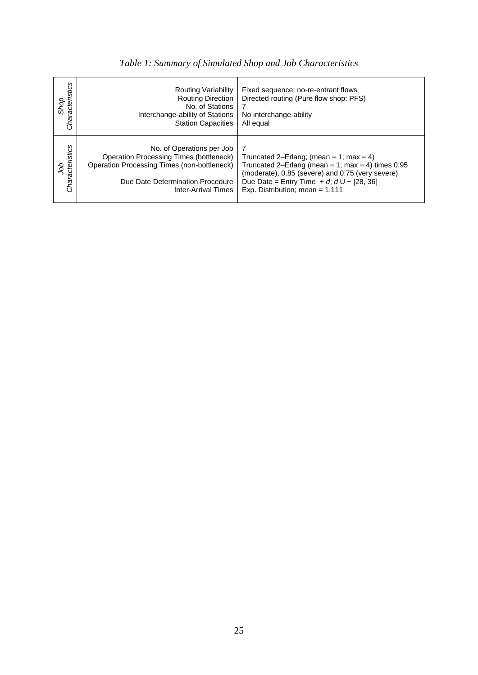| Characteristics<br>qor                                                                                                                                                                                                                      | Shop<br>Characteristics                                                                                                                   |
|---------------------------------------------------------------------------------------------------------------------------------------------------------------------------------------------------------------------------------------------|-------------------------------------------------------------------------------------------------------------------------------------------|
| No. of Operations per Job<br><b>Operation Processing Times (bottleneck)</b><br><b>Operation Processing Times (non-bottleneck)</b><br>Due Date Determination Procedure<br>Inter-Arrival Times                                                | <b>Routing Variability</b><br><b>Routing Direction</b><br>No. of Stations<br>Interchange-ability of Stations<br><b>Station Capacities</b> |
| Truncated 2–Erlang; (mean = 1; max = 4)<br>Truncated 2-Erlang (mean = 1; max = 4) times $0.95$<br>(moderate), 0.85 (severe) and 0.75 (very severe)<br>Due Date = Entry Time + $d$ ; $dU \sim [28, 36]$<br>Exp. Distribution; mean = $1.111$ | Fixed sequence; no-re-entrant flows<br>Directed routing (Pure flow shop: PFS)<br>No interchange-ability<br>All equal                      |

| Table 1: Summary of Simulated Shop and Job Characteristics |  |
|------------------------------------------------------------|--|
|------------------------------------------------------------|--|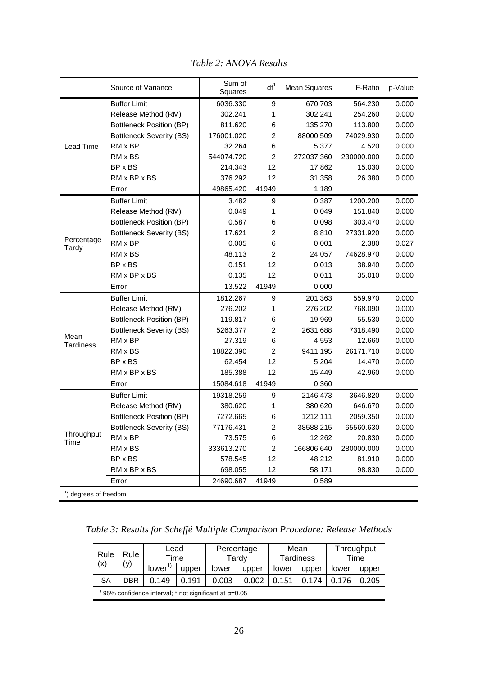|                                   | Source of Variance              | Sum of<br>Squares | $df^1$           | Mean Squares | F-Ratio    | p-Value |
|-----------------------------------|---------------------------------|-------------------|------------------|--------------|------------|---------|
|                                   | <b>Buffer Limit</b>             | 6036.330          | $\boldsymbol{9}$ | 670.703      | 564.230    | 0.000   |
| Lead Time                         | Release Method (RM)             | 302.241           | 1                | 302.241      | 254.260    | 0.000   |
|                                   | <b>Bottleneck Position (BP)</b> | 811.620           | 6                | 135.270      | 113.800    | 0.000   |
|                                   | <b>Bottleneck Severity (BS)</b> | 176001.020        | $\overline{c}$   | 88000.509    | 74029.930  | 0.000   |
|                                   | RM x BP                         | 32.264            | 6                | 5.377        | 4.520      | 0.000   |
|                                   | RM x BS                         | 544074.720        | 2                | 272037.360   | 230000.000 | 0.000   |
|                                   | BP x BS                         | 214.343           | 12               | 17.862       | 15.030     | 0.000   |
|                                   | RM x BP x BS                    | 376.292           | 12               | 31.358       | 26.380     | 0.000   |
|                                   | Error                           | 49865.420         | 41949            | 1.189        |            |         |
|                                   | <b>Buffer Limit</b>             | 3.482             | 9                | 0.387        | 1200.200   | 0.000   |
|                                   | Release Method (RM)             | 0.049             | 1                | 0.049        | 151.840    | 0.000   |
|                                   | <b>Bottleneck Position (BP)</b> | 0.587             | 6                | 0.098        | 303.470    | 0.000   |
|                                   | <b>Bottleneck Severity (BS)</b> | 17.621            | 2                | 8.810        | 27331.920  | 0.000   |
| Percentage<br>Tardy               | RM x BP                         | 0.005             | 6                | 0.001        | 2.380      | 0.027   |
|                                   | RM x BS                         | 48.113            | $\overline{2}$   | 24.057       | 74628.970  | 0.000   |
|                                   | BP x BS                         | 0.151             | 12               | 0.013        | 38.940     | 0.000   |
|                                   | RM x BP x BS                    | 0.135             | 12               | 0.011        | 35.010     | 0.000   |
|                                   | Error                           | 13.522            | 41949            | 0.000        |            |         |
|                                   | <b>Buffer Limit</b>             | 1812.267          | 9                | 201.363      | 559.970    | 0.000   |
|                                   | Release Method (RM)             | 276.202           | 1                | 276.202      | 768.090    | 0.000   |
|                                   | <b>Bottleneck Position (BP)</b> | 119.817           | 6                | 19.969       | 55.530     | 0.000   |
|                                   | <b>Bottleneck Severity (BS)</b> | 5263.377          | 2                | 2631.688     | 7318.490   | 0.000   |
| Mean<br>Tardiness                 | RM x BP                         | 27.319            | 6                | 4.553        | 12.660     | 0.000   |
|                                   | RM x BS                         | 18822.390         | $\overline{2}$   | 9411.195     | 26171.710  | 0.000   |
|                                   | BP x BS                         | 62.454            | 12               | 5.204        | 14.470     | 0.000   |
|                                   | RM x BP x BS                    | 185.388           | 12               | 15.449       | 42.960     | 0.000   |
|                                   | Error                           | 15084.618         | 41949            | 0.360        |            |         |
|                                   | <b>Buffer Limit</b>             | 19318.259         | 9                | 2146.473     | 3646.820   | 0.000   |
| Throughput<br>Time                | Release Method (RM)             | 380.620           | 1                | 380.620      | 646.670    | 0.000   |
|                                   | <b>Bottleneck Position (BP)</b> | 7272.665          | 6                | 1212.111     | 2059.350   | 0.000   |
|                                   | <b>Bottleneck Severity (BS)</b> | 77176.431         | 2                | 38588.215    | 65560.630  | 0.000   |
|                                   | RM x BP                         | 73.575            | 6                | 12.262       | 20.830     | 0.000   |
|                                   | RM x BS                         | 333613.270        | $\overline{c}$   | 166806.640   | 280000.000 | 0.000   |
|                                   | BP x BS                         | 578.545           | 12               | 48.212       | 81.910     | 0.000   |
|                                   | RM x BP x BS                    | 698.055           | 12               | 58.171       | 98.830     | 0.000   |
|                                   | Error                           | 24690.687         | 41949            | 0.589        |            |         |
| <sup>1</sup> ) degrees of freedom |                                 |                   |                  |              |            |         |

*Table 2: ANOVA Results*

*Table 3: Results for Scheffé Multiple Comparison Procedure: Release Methods*

| Rule<br>(x)                                                                  | Rule<br>(y) | Lead<br>Time       |       | Percentage<br>Tardy |          | Mean<br><b>Tardiness</b> |       | Throughput<br>Time |       |
|------------------------------------------------------------------------------|-------------|--------------------|-------|---------------------|----------|--------------------------|-------|--------------------|-------|
|                                                                              |             | lower <sup>1</sup> | upper | lower               | upper    | lower                    | upper | lower              | upper |
| SA                                                                           | DBR         | 0.149              | 0.191 | $-0.003$            | $-0.002$ | 0.151                    | 0.174 |                    | 0.205 |
| <sup>1)</sup> 95% confidence interval; $*$ not significant at $\alpha$ =0.05 |             |                    |       |                     |          |                          |       |                    |       |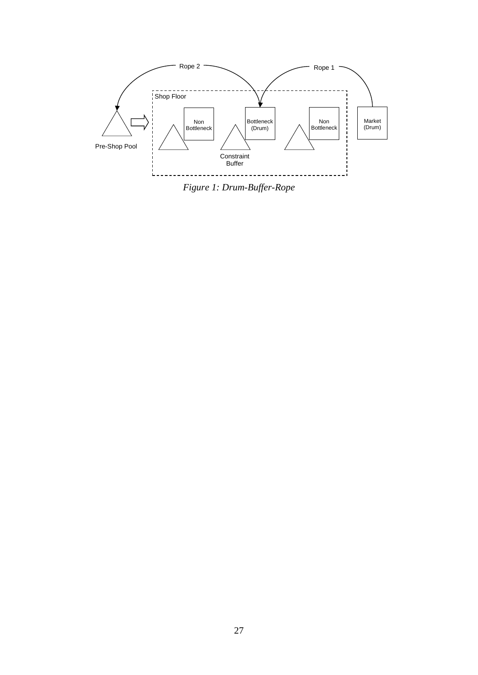

*Figure 1: Drum-Buffer-Rope*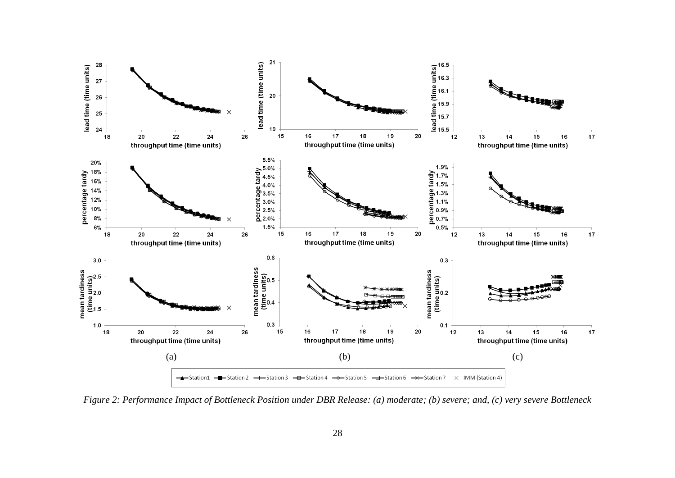

*Figure 2: Performance Impact of Bottleneck Position under DBR Release: (a) moderate; (b) severe; and, (c) very severe Bottleneck*